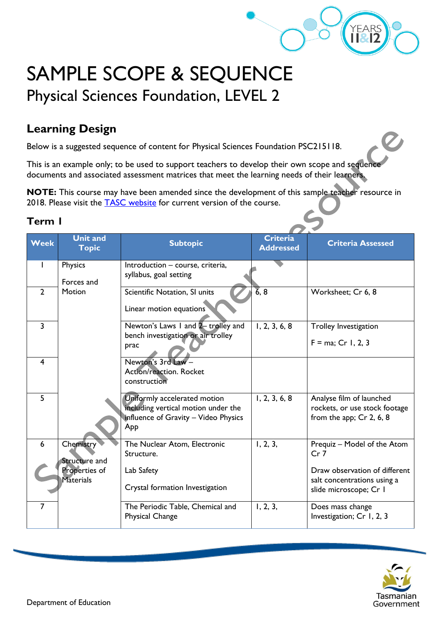

# SAMPLE SCOPE & SEQUENCE Physical Sciences Foundation, LEVEL 2

## **Learning Design**

Below is a suggested sequence of content for Physical Sciences Foundation PSC215118.

This is an example only; to be used to support teachers to develop their own scope and sequence documents and associated assessment matrices that meet the learning needs of their learners.

**NOTE:** This course may have been amended since the development of this sample teacher resource in 2018. Please visit the **TASC** website for current version of the course.

#### **Term 1**

| Week                    | <b>Unit and</b><br><b>Topic</b>         | <b>Subtopic</b>                                                                                                    | <b>Criteria</b><br><b>Addressed</b> | <b>Criteria Assessed</b>                                                                |  |
|-------------------------|-----------------------------------------|--------------------------------------------------------------------------------------------------------------------|-------------------------------------|-----------------------------------------------------------------------------------------|--|
| I                       | Physics<br>Forces and                   | Introduction - course, criteria,<br>syllabus, goal setting                                                         |                                     |                                                                                         |  |
| $\overline{2}$          | Motion                                  | Scientific Notation, SI units<br>Linear motion equations                                                           | $\overline{6}$ , 8                  | Worksheet; Cr 6, 8                                                                      |  |
| $\overline{3}$          |                                         | Newton's Laws 1 and 2- trolley and<br>bench investigation or air trolley<br>prac                                   | 1, 2, 3, 6, 8                       | <b>Trolley Investigation</b><br>$F = ma$ ; Cr 1, 2, 3                                   |  |
| $\overline{\mathbf{4}}$ |                                         | Newton's 3rd Law -<br>Action/reaction. Rocket<br>construction                                                      |                                     |                                                                                         |  |
| 5                       |                                         | Uniformly accelerated motion<br>including vertical motion under the<br>influence of Gravity - Video Physics<br>App | 1, 2, 3, 6, 8                       | Analyse film of launched<br>rockets, or use stock footage<br>from the app; $Cr$ 2, 6, 8 |  |
| 6                       | Chemistry <sup>®</sup><br>Structure and | The Nuclear Atom, Electronic<br>Structure.                                                                         | 1, 2, 3,                            | Prequiz - Model of the Atom<br>Cr <sub>7</sub>                                          |  |
|                         | Properties of<br>Materials              | Lab Safety<br>Crystal formation Investigation                                                                      |                                     | Draw observation of different<br>salt concentrations using a<br>slide microscope; Cr I  |  |
| $\overline{7}$          |                                         | The Periodic Table, Chemical and<br><b>Physical Change</b>                                                         | 1, 2, 3,                            | Does mass change<br>Investigation; Cr 1, 2, 3                                           |  |

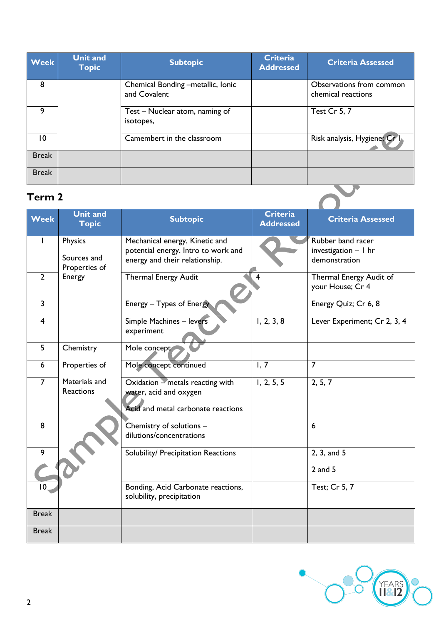| <b>Week</b>     | <b>Unit and</b><br><b>Topic</b> | <b>Subtopic</b>                                   | <b>Criteria</b><br><b>Addressed</b> | <b>Criteria Assessed</b>                       |
|-----------------|---------------------------------|---------------------------------------------------|-------------------------------------|------------------------------------------------|
| 8               |                                 | Chemical Bonding -metallic, Ionic<br>and Covalent |                                     | Observations from common<br>chemical reactions |
| 9               |                                 | Test – Nuclear atom, naming of<br>isotopes,       |                                     | <b>Test Cr 5, 7</b>                            |
| $\overline{10}$ |                                 | Camembert in the classroom                        |                                     | Risk analysis, Hygiene; Cr                     |
| <b>Break</b>    |                                 |                                                   |                                     |                                                |
| <b>Break</b>    |                                 |                                                   |                                     |                                                |
| Term 2          |                                 |                                                   |                                     |                                                |

### **Term 2**

| <b>Week</b>    | <b>Unit and</b><br><b>Topic</b> | <b>Subtopic</b>                                                 | <b>Criteria</b><br><b>Addressed</b> | <b>Criteria Assessed</b>                    |  |
|----------------|---------------------------------|-----------------------------------------------------------------|-------------------------------------|---------------------------------------------|--|
|                | Physics                         | Mechanical energy, Kinetic and                                  |                                     | Rubber band racer                           |  |
|                |                                 | potential energy. Intro to work and                             |                                     | investigation - I hr                        |  |
|                | Sources and<br>Properties of    | energy and their relationship.                                  |                                     | demonstration                               |  |
| $\overline{2}$ | Energy                          | <b>Thermal Energy Audit</b>                                     |                                     | Thermal Energy Audit of<br>your House; Cr 4 |  |
| $\overline{3}$ |                                 | Energy - Types of Energy                                        |                                     | Energy Quiz; Cr 6, 8                        |  |
| $\overline{4}$ |                                 | Simple Machines - levers                                        | 1, 2, 3, 8                          | Lever Experiment; Cr 2, 3, 4                |  |
|                |                                 | experiment                                                      |                                     |                                             |  |
| 5              | Chemistry                       | Mole concept                                                    |                                     |                                             |  |
| 6              | Properties of                   | Mole concept continued                                          | 1, 7                                | $\overline{7}$                              |  |
| $\overline{7}$ | Materials and                   | Oxidation - metals reacting with                                | 1, 2, 5, 5                          | 2, 5, 7                                     |  |
|                | <b>Reactions</b>                | water, acid and oxygen                                          |                                     |                                             |  |
|                |                                 | Acid and metal carbonate reactions                              |                                     |                                             |  |
| 8              |                                 | Chemistry of solutions -                                        |                                     | $6\phantom{1}6$                             |  |
|                |                                 | dilutions/concentrations                                        |                                     |                                             |  |
| 9              |                                 | Solubility/ Precipitation Reactions                             |                                     | 2, 3, and 5                                 |  |
|                |                                 |                                                                 |                                     | $2$ and $5$                                 |  |
| 10             |                                 | Bonding, Acid Carbonate reactions,<br>solubility, precipitation |                                     | Test; Cr 5, 7                               |  |
| <b>Break</b>   |                                 |                                                                 |                                     |                                             |  |
| <b>Break</b>   |                                 |                                                                 |                                     |                                             |  |

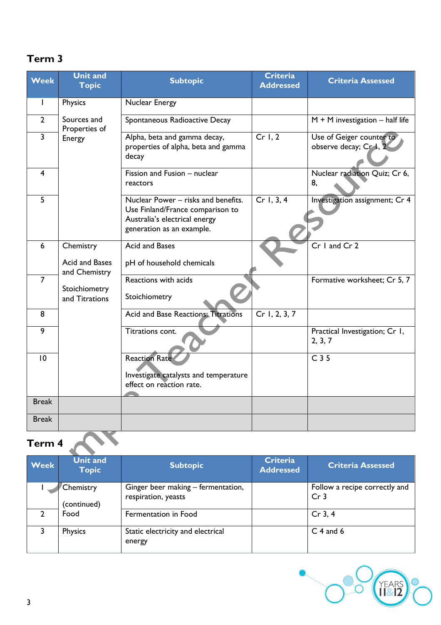### **Term 3**

| <b>Week</b>    | <b>Unit and</b><br><b>Topic</b> | <b>Subtopic</b>                                                                                                                       | <b>Criteria</b><br><b>Addressed</b> | <b>Criteria Assessed</b>                           |
|----------------|---------------------------------|---------------------------------------------------------------------------------------------------------------------------------------|-------------------------------------|----------------------------------------------------|
| $\mathbf{I}$   | Physics                         | Nuclear Energy                                                                                                                        |                                     |                                                    |
| $\overline{2}$ | Sources and<br>Properties of    | Spontaneous Radioactive Decay                                                                                                         |                                     | $M + M$ investigation - half life                  |
| $\overline{3}$ | Energy                          | Alpha, beta and gamma decay,<br>properties of alpha, beta and gamma<br>decay                                                          | Cr 1, 2                             | Use of Geiger counter to<br>observe decay; Cr 1, 2 |
| 4              |                                 | Fission and Fusion - nuclear<br>reactors                                                                                              |                                     | Nuclear radiation Quiz; Cr 6,<br>8,                |
| 5              |                                 | Nuclear Power - risks and benefits.<br>Use Finland/France comparison to<br>Australia's electrical energy<br>generation as an example. | Cr 1, 3, 4                          | Investigation assignment; Cr 4                     |
| 6              | Chemistry                       | Acid and Bases                                                                                                                        |                                     | Cr I and Cr 2                                      |
|                | Acid and Bases<br>and Chemistry | pH of household chemicals                                                                                                             |                                     |                                                    |
| $\overline{7}$ | Stoichiometry<br>and Titrations | Reactions with acids<br>Stoichiometry                                                                                                 |                                     | Formative worksheet; Cr 5, 7                       |
| 8              |                                 | <b>Acid and Base Reactions: Titrations</b>                                                                                            | Cr 1, 2, 3, 7                       |                                                    |
| 9              |                                 | Titrations cont.                                                                                                                      |                                     | Practical Investigation; Cr 1,<br>2, 3, 7          |
| 10             |                                 | <b>Reaction Rate</b>                                                                                                                  |                                     | C <sub>35</sub>                                    |
|                |                                 | Investigate catalysts and temperature<br>effect on reaction rate.                                                                     |                                     |                                                    |
| <b>Break</b>   |                                 |                                                                                                                                       |                                     |                                                    |
| <b>Break</b>   |                                 |                                                                                                                                       |                                     |                                                    |
| Term 4         |                                 |                                                                                                                                       |                                     |                                                    |

| <b>Week</b> | <b>Unit and</b><br><b>Topic</b> | <b>Subtopic</b>                                           | <b>Criteria</b><br><b>Addressed</b> | <b>Criteria Assessed</b>                         |
|-------------|---------------------------------|-----------------------------------------------------------|-------------------------------------|--------------------------------------------------|
|             | Chemistry<br>(continued)        | Ginger beer making – fermentation,<br>respiration, yeasts |                                     | Follow a recipe correctly and<br>Cr <sub>3</sub> |
|             | Food                            | Fermentation in Food                                      |                                     | $Cr$ 3, 4                                        |
|             | Physics                         | Static electricity and electrical<br>energy               |                                     | $C$ 4 and 6                                      |